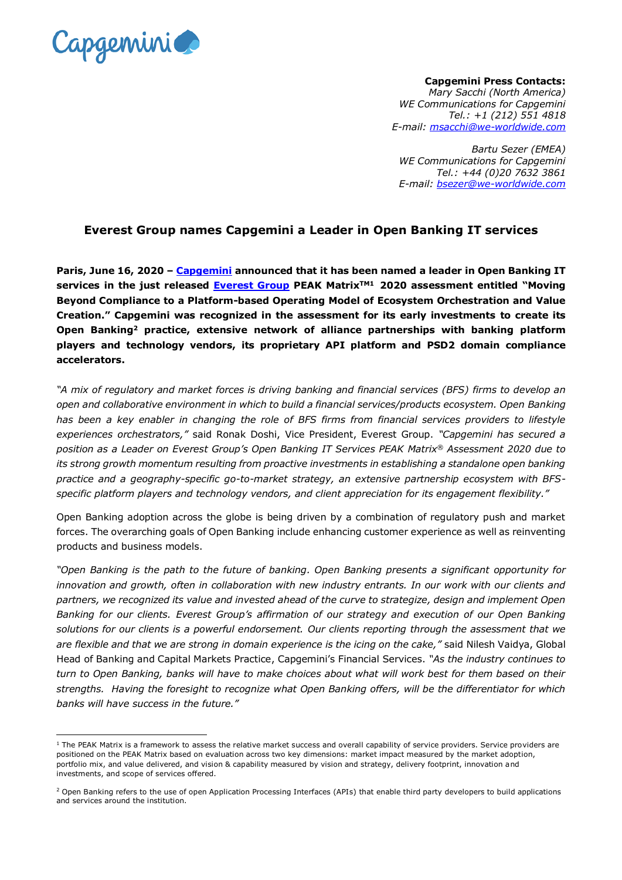

1

**Capgemini Press Contacts:** *Mary Sacchi (North America) WE Communications for Capgemini Tel.: +1 (212) 551 4818 E-mail: [msacchi@we-worldwide.com](file:///C:/Users/marharn/AppData/Local/Microsoft/Windows/INetCache/Content.Outlook/8JEJXXXD/msacchi@we-worldwide.com)*

*Bartu Sezer (EMEA) WE Communications for Capgemini Tel.: +44 (0)20 7632 3861 E-mail: bsezer@we-worldwide.com*

## **Everest Group names Capgemini a Leader in Open Banking IT services**

**Paris, June 16, 2020 – [Capgemini](http://www.capgemini.com/) announced that it has been named a leader in Open Banking IT services in the just released [Everest Group](https://www.everestgrp.com/) PEAK MatrixTM1 2020 assessment entitled "Moving Beyond Compliance to a Platform-based Operating Model of Ecosystem Orchestration and Value Creation." Capgemini was recognized in the assessment for its early investments to create its Open Banking<sup>2</sup> practice, extensive network of alliance partnerships with banking platform players and technology vendors, its proprietary API platform and PSD2 domain compliance accelerators.**

*"A mix of regulatory and market forces is driving banking and financial services (BFS) firms to develop an open and collaborative environment in which to build a financial services/products ecosystem. Open Banking has been a key enabler in changing the role of BFS firms from financial services providers to lifestyle experiences orchestrators,"* said Ronak Doshi, Vice President, Everest Group. *"Capgemini has secured a position as a Leader on Everest Group's Open Banking IT Services PEAK Matrix® Assessment 2020 due to its strong growth momentum resulting from proactive investments in establishing a standalone open banking practice and a geography-specific go-to-market strategy, an extensive partnership ecosystem with BFSspecific platform players and technology vendors, and client appreciation for its engagement flexibility."*

Open Banking adoption across the globe is being driven by a combination of regulatory push and market forces. The overarching goals of Open Banking include enhancing customer experience as well as reinventing products and business models.

*"Open Banking is the path to the future of banking. Open Banking presents a significant opportunity for innovation and growth, often in collaboration with new industry entrants. In our work with our clients and partners, we recognized its value and invested ahead of the curve to strategize, design and implement Open Banking for our clients. Everest Group's affirmation of our strategy and execution of our Open Banking solutions for our clients is a powerful endorsement. Our clients reporting through the assessment that we are flexible and that we are strong in domain experience is the icing on the cake,"* said Nilesh Vaidya, Global Head of Banking and Capital Markets Practice, Capgemini's Financial Services. *"As the industry continues to turn to Open Banking, banks will have to make choices about what will work best for them based on their strengths. Having the foresight to recognize what Open Banking offers, will be the differentiator for which banks will have success in the future."*

 $1$  The PEAK Matrix is a framework to assess the relative market success and overall capability of service providers. Service providers are positioned on the PEAK Matrix based on evaluation across two key dimensions: market impact measured by the market adoption, portfolio mix, and value delivered, and vision & capability measured by vision and strategy, delivery footprint, innovation and investments, and scope of services offered.

<sup>&</sup>lt;sup>2</sup> Open Banking refers to the use of open Application Processing Interfaces (APIs) that enable third party developers to build applications and services around the institution.